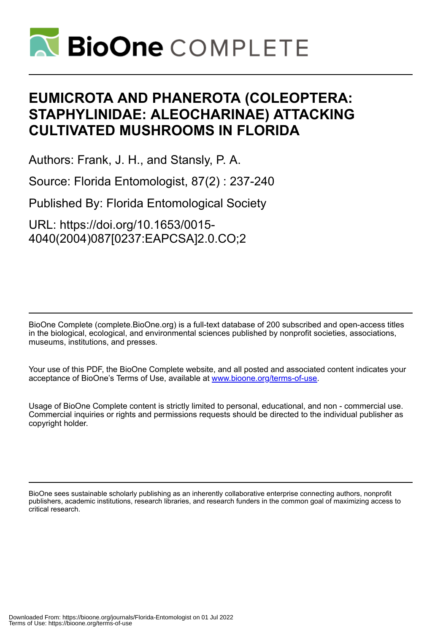

## **EUMICROTA AND PHANEROTA (COLEOPTERA: STAPHYLINIDAE: ALEOCHARINAE) ATTACKING CULTIVATED MUSHROOMS IN FLORIDA**

Authors: Frank, J. H., and Stansly, P. A.

Source: Florida Entomologist, 87(2) : 237-240

Published By: Florida Entomological Society

URL: https://doi.org/10.1653/0015- 4040(2004)087[0237:EAPCSA]2.0.CO;2

BioOne Complete (complete.BioOne.org) is a full-text database of 200 subscribed and open-access titles in the biological, ecological, and environmental sciences published by nonprofit societies, associations, museums, institutions, and presses.

Your use of this PDF, the BioOne Complete website, and all posted and associated content indicates your acceptance of BioOne's Terms of Use, available at www.bioone.org/terms-of-use.

Usage of BioOne Complete content is strictly limited to personal, educational, and non - commercial use. Commercial inquiries or rights and permissions requests should be directed to the individual publisher as copyright holder.

BioOne sees sustainable scholarly publishing as an inherently collaborative enterprise connecting authors, nonprofit publishers, academic institutions, research libraries, and research funders in the common goal of maximizing access to critical research.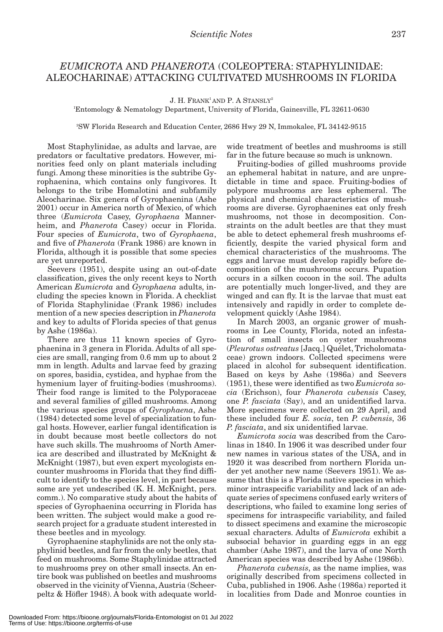## *EUMICROTA* AND *PHANEROTA* (COLEOPTERA: STAPHYLINIDAE: ALEOCHARINAE) ATTACKING CULTIVATED MUSHROOMS IN FLORIDA

 $J. H.$  FRANK<sup>1</sup> AND P. A STANSLY<sup>2</sup>

1 Entomology & Nematology Department, University of Florida, Gainesville, FL 32611-0630

2 SW Florida Research and Education Center, 2686 Hwy 29 N, Immokalee, FL 34142-9515

Most Staphylinidae, as adults and larvae, are predators or facultative predators. However, minorities feed only on plant materials including fungi. Among these minorities is the subtribe Gyrophaenina, which contains only fungivores. It belongs to the tribe Homalotini and subfamily Aleocharinae. Six genera of Gyrophaenina (Ashe 2001) occur in America north of Mexico, of which three (*Eumicrota* Casey, *Gyrophaena* Mannerheim, and *Phanerota* Casey) occur in Florida. Four species of *Eumicrota*, two of *Gyrophaena*, and five of *Phanerota* (Frank 1986) are known in Florida, although it is possible that some species are yet unreported.

Seevers (1951), despite using an out-of-date classification, gives the only recent keys to North American *Eumicrota* and *Gyrophaena* adults, including the species known in Florida. A checklist of Florida Staphylinidae (Frank 1986) includes mention of a new species description in *Phanerota* and key to adults of Florida species of that genus by Ashe (1986a).

There are thus 11 known species of Gyrophaenina in 3 genera in Florida. Adults of all species are small, ranging from 0.6 mm up to about 2 mm in length. Adults and larvae feed by grazing on spores, basidia, cystidea, and hyphae from the hymenium layer of fruiting-bodies (mushrooms). Their food range is limited to the Polyporaceae and several families of gilled mushrooms. Among the various species groups of *Gyrophaena*, Ashe (1984) detected some level of specialization to fungal hosts. However, earlier fungal identification is in doubt because most beetle collectors do not have such skills. The mushrooms of North America are described and illustrated by McKnight & McKnight (1987), but even expert mycologists encounter mushrooms in Florida that they find difficult to identify to the species level, in part because some are yet undescribed (K. H. McKnight, pers. comm.). No comparative study about the habits of species of Gyrophaenina occurring in Florida has been written. The subject would make a good research project for a graduate student interested in these beetles and in mycology.

Gyrophaenine staphylinids are not the only staphylinid beetles, and far from the only beetles, that feed on mushrooms. Some Staphylinidae attracted to mushrooms prey on other small insects. An entire book was published on beetles and mushrooms observed in the vicinity of Vienna, Austria (Scheerpeltz & Höfler 1948). A book with adequate world-

wide treatment of beetles and mushrooms is still far in the future because so much is unknown.

Fruiting-bodies of gilled mushrooms provide an ephemeral habitat in nature, and are unpredictable in time and space. Fruiting-bodies of polypore mushrooms are less ephemeral. The physical and chemical characteristics of mushrooms are diverse. Gyrophaenines eat only fresh mushrooms, not those in decomposition. Constraints on the adult beetles are that they must be able to detect ephemeral fresh mushrooms efficiently, despite the varied physical form and chemical characteristics of the mushrooms. The eggs and larvae must develop rapidly before decomposition of the mushrooms occurs. Pupation occurs in a silken cocoon in the soil. The adults are potentially much longer-lived, and they are winged and can fly. It is the larvae that must eat intensively and rapidly in order to complete development quickly (Ashe 1984).

In March 2003, an organic grower of mushrooms in Lee County, Florida, noted an infestation of small insects on oyster mushrooms (*Pleurotus ostreatus* [Jacq.] Quélet, Tricholomataceae) grown indoors. Collected specimens were placed in alcohol for subsequent identification. Based on keys by Ashe (1986a) and Seevers (1951), these were identified as two *Eumicrota socia* (Erichson), four *Phanerota cubensis* Casey, one *P. fasciata* (Say), and an unidentified larva. More specimens were collected on 29 April, and these included four *E. socia*, ten *P. cubensis*, 36 *P. fasciata*, and six unidentified larvae.

*Eumicrota socia* was described from the Carolinas in 1840. In 1906 it was described under four new names in various states of the USA, and in 1920 it was described from northern Florida under yet another new name (Seevers 1951). We assume that this is a Florida native species in which minor intraspecific variability and lack of an adequate series of specimens confused early writers of descriptions, who failed to examine long series of specimens for intraspecific variability, and failed to dissect specimens and examine the microscopic sexual characters. Adults of *Eumicrota* exhibit a subsocial behavior in guarding eggs in an egg chamber (Ashe 1987), and the larva of one North American species was described by Ashe (1986b).

*Phanerota cubensis*, as the name implies, was originally described from specimens collected in Cuba, published in 1906. Ashe (1986a) reported it in localities from Dade and Monroe counties in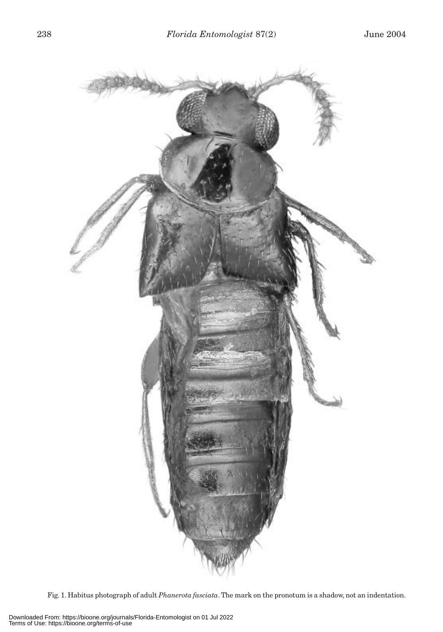

Fig. 1. Habitus photograph of adult *Phanerota fasciata*. The mark on the pronotum is a shadow, not an indentation.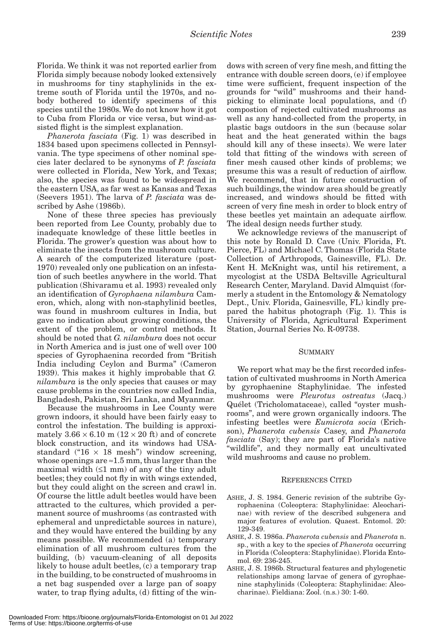Florida. We think it was not reported earlier from Florida simply because nobody looked extensively in mushrooms for tiny staphylinids in the extreme south of Florida until the 1970s, and nobody bothered to identify specimens of this species until the 1980s. We do not know how it got to Cuba from Florida or vice versa, but wind-assisted flight is the simplest explanation.

*Phanerota fasciata* (Fig. 1) was described in 1834 based upon specimens collected in Pennsylvania. The type specimens of other nominal species later declared to be synonyms of *P. fasciata* were collected in Florida, New York, and Texas; also, the species was found to be widespread in the eastern USA, as far west as Kansas and Texas (Seevers 1951). The larva of *P. fasciata* was described by Ashe (1986b).

None of these three species has previously been reported from Lee County, probably due to inadequate knowledge of these little beetles in Florida. The grower's question was about how to eliminate the insects from the mushroom culture. A search of the computerized literature (post-1970) revealed only one publication on an infestation of such beetles anywhere in the world. That publication (Shivaramu et al. 1993) revealed only an identification of *Gyrophaena nilambura* Cameron, which, along with non-staphylinid beetles, was found in mushroom cultures in India, but gave no indication about growing conditions, the extent of the problem, or control methods. It should be noted that *G. nilambura* does not occur in North America and is just one of well over 100 species of Gyrophaenina recorded from "British India including Ceylon and Burma" (Cameron 1939). This makes it highly improbable that *G. nilambura* is the only species that causes or may cause problems in the countries now called India, Bangladesh, Pakistan, Sri Lanka, and Myanmar.

Because the mushrooms in Lee County were grown indoors, it should have been fairly easy to control the infestation. The building is approximately  $3.66 \times 6.10$  m ( $12 \times 20$  ft) and of concrete block construction, and its windows had USAstandard (" $16 \times 18$  mesh") window screening, whose openings are  $\approx 1.5$  mm, thus larger than the maximal width  $(≤1 mm)$  of any of the tiny adult beetles; they could not fly in with wings extended, but they could alight on the screen and crawl in. Of course the little adult beetles would have been attracted to the cultures, which provided a permanent source of mushrooms (as contrasted with ephemeral and unpredictable sources in nature), and they would have entered the building by any means possible. We recommended (a) temporary elimination of all mushroom cultures from the building, (b) vacuum-cleaning of all deposits likely to house adult beetles, (c) a temporary trap in the building, to be constructed of mushrooms in a net bag suspended over a large pan of soapy water, to trap flying adults, (d) fitting of the windows with screen of very fine mesh, and fitting the entrance with double screen doors, (e) if employee time were sufficient, frequent inspection of the grounds for "wild" mushrooms and their handpicking to eliminate local populations, and (f) compostion of rejected cultivated mushrooms as well as any hand-collected from the property, in plastic bags outdoors in the sun (because solar heat and the heat generated within the bags should kill any of these insects). We were later told that fitting of the windows with screen of finer mesh caused other kinds of problems; we presume this was a result of reduction of airflow. We recommend, that in future construction of such buildings, the window area should be greatly increased, and windows should be fitted with screen of very fine mesh in order to block entry of these beetles yet maintain an adequate airflow. The ideal design needs further study.

We acknowledge reviews of the manuscript of this note by Ronald D. Cave (Univ. Florida, Ft. Pierce, FL) and Michael C. Thomas (Florida State Collection of Arthropods, Gainesville, FL). Dr. Kent H. McKnight was, until his retirement, a mycologist at the USDA Beltsville Agricultural Research Center, Maryland. David Almquist (formerly a student in the Entomology & Nematology Dept., Univ. Florida, Gainesville, FL) kindly prepared the habitus photograph (Fig. 1). This is University of Florida, Agricultural Experiment Station, Journal Series No. R-09738.

## SUMMARY

We report what may be the first recorded infestation of cultivated mushrooms in North America by gyrophaenine Staphylinidae. The infested mushrooms were *Pleurotus ostreatus* (Jacq.) Quélet (Tricholomataceae), called "oyster mushrooms", and were grown organically indoors. The infesting beetles were *Eumicrota socia* (Erichson), *Phanerota cubensis* Casey, and *Phanerota fasciata* (Say); they are part of Florida's native "wildlife", and they normally eat uncultivated wild mushrooms and cause no problem.

## REFERENCES CITED

- ASHE, J. S. 1984. Generic revision of the subtribe Gyrophaenina (Coleoptera: Staphylinidae: Aleocharinae) with review of the described subgenera and major features of evolution. Quaest. Entomol. 20: 129-349.
- ASHE, J. S. 1986a. *Phanerota cubensis* and *Phanerota* n. sp., with a key to the species of *Phanerota* occurring in Florida (Coleoptera: Staphylinidae). Florida Entomol. 69: 236-245.
- ASHE, J. S. 1986b. Structural features and phylogenetic relationships among larvae of genera of gyrophaenine staphylinids (Coleoptera: Staphylinidae: Aleocharinae). Fieldiana: Zool. (n.s.) 30: 1-60.